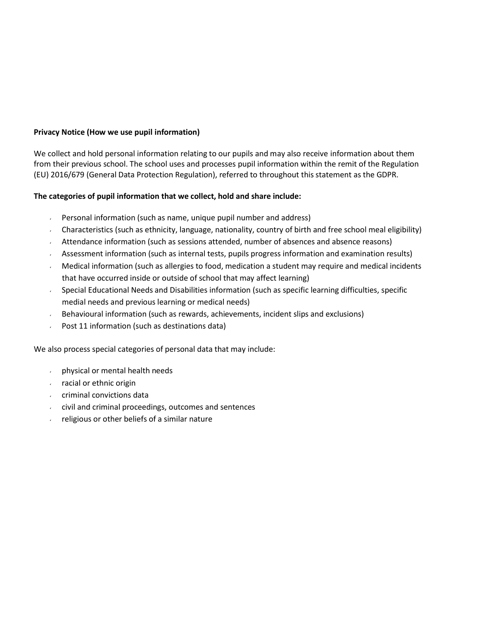# **Privacy Notice (How we use pupil information)**

We collect and hold personal information relating to our pupils and may also receive information about them from their previous school. The school uses and processes pupil information within the remit of the Regulation (EU) 2016/679 (General Data Protection Regulation), referred to throughout this statement as the GDPR.

# **The categories of pupil information that we collect, hold and share include:**

- Personal information (such as name, unique pupil number and address)
- Characteristics (such as ethnicity, language, nationality, country of birth and free school meal eligibility)
- Attendance information (such as sessions attended, number of absences and absence reasons)
- Assessment information (such as internal tests, pupils progress information and examination results)
- Medical information (such as allergies to food, medication a student may require and medical incidents that have occurred inside or outside of school that may affect learning)
- Special Educational Needs and Disabilities information (such as specific learning difficulties, specific medial needs and previous learning or medical needs)
- Behavioural information (such as rewards, achievements, incident slips and exclusions)
- Post 11 information (such as destinations data)

We also process special categories of personal data that may include:

- physical or mental health needs
- racial or ethnic origin
- criminal convictions data
- $\cdot$  civil and criminal proceedings, outcomes and sentences
- religious or other beliefs of a similar nature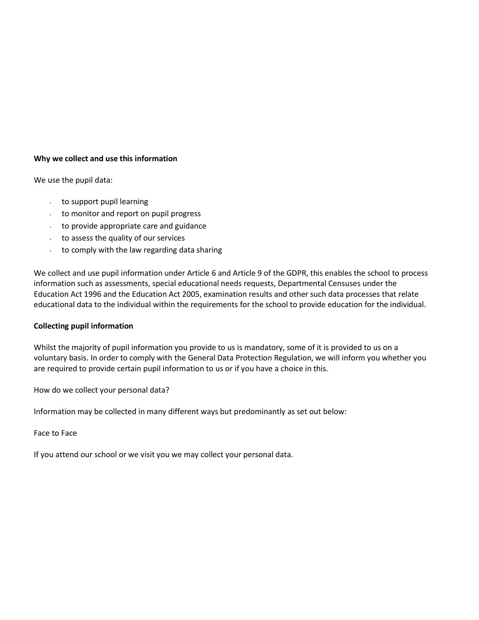## **Why we collect and use this information**

We use the pupil data:

- to support pupil learning
- to monitor and report on pupil progress
- to provide appropriate care and guidance
- to assess the quality of our services
- to comply with the law regarding data sharing  $\mathbf{v}$

We collect and use pupil information under Article 6 and Article 9 of the GDPR, this enables the school to process information such as assessments, special educational needs requests, Departmental Censuses under the Education Act 1996 and the Education Act 2005, examination results and other such data processes that relate educational data to the individual within the requirements for the school to provide education for the individual.

## **Collecting pupil information**

Whilst the majority of pupil information you provide to us is mandatory, some of it is provided to us on a voluntary basis. In order to comply with the General Data Protection Regulation, we will inform you whether you are required to provide certain pupil information to us or if you have a choice in this.

How do we collect your personal data?

Information may be collected in many different ways but predominantly as set out below:

## Face to Face

If you attend our school or we visit you we may collect your personal data.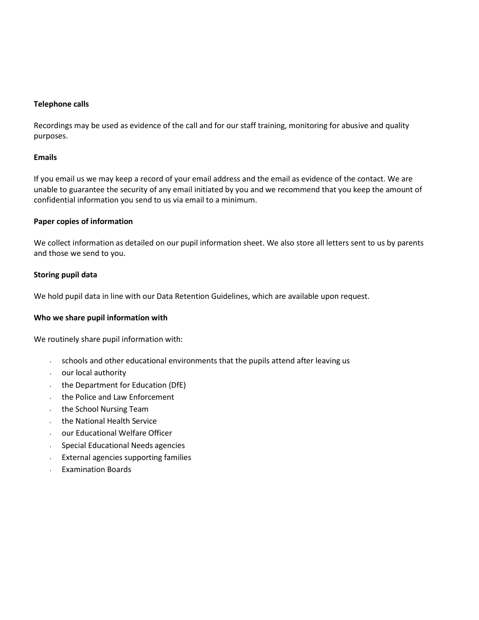### **Telephone calls**

Recordings may be used as evidence of the call and for our staff training, monitoring for abusive and quality purposes.

### **Emails**

If you email us we may keep a record of your email address and the email as evidence of the contact. We are unable to guarantee the security of any email initiated by you and we recommend that you keep the amount of confidential information you send to us via email to a minimum.

### **Paper copies of information**

We collect information as detailed on our pupil information sheet. We also store all letters sent to us by parents and those we send to you.

### **Storing pupil data**

We hold pupil data in line with our Data Retention Guidelines, which are available upon request.

## **Who we share pupil information with**

We routinely share pupil information with:

- $\sim$  schools and other educational environments that the pupils attend after leaving us
- our local authority  $\mathbf{z}$  .
- the Department for Education (DfE)  $\mathbf{v}^{(i)}$
- the Police and Law Enforcement  $\mathbf{z}$  .
- the School Nursing Team  $\epsilon$
- the National Health Service  $\mathbf{v}$
- our Educational Welfare Officer  $\mathbf{v}^{(i)}$
- $\epsilon$ Special Educational Needs agencies
- External agencies supporting families  $\mathbf{z}^{(i)}$
- Examination Boardss.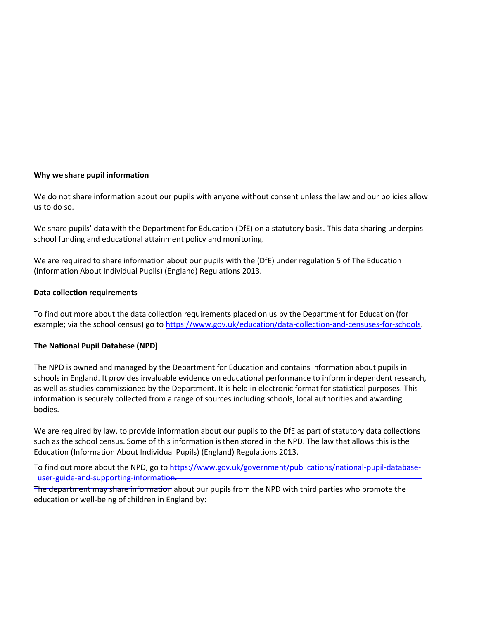### **Why we share pupil information**

We do not share information about our pupils with anyone without consent unless the law and our policies allow us to do so.

We share pupils' data with the Department for Education (DfE) on a statutory basis. This data sharing underpins school funding and educational attainment policy and monitoring.

We are required to share information about our pupils with the (DfE) under regulation 5 of The Education (Information About Individual Pupils) (England) Regulations 2013.

#### **Data collection requirements**

To find out more about the data collection requirements placed on us by the Department for Education (for example; via the school census) go to [https://www.gov.uk/education/data-collection-and-censuses-for-schools.](https://www.gov.uk/education/data-collection-and-censuses-for-schools)

## **The National Pupil Database (NPD)**

The NPD is owned and managed by the Department for Education and contains information about pupils in schools in England. It provides invaluable evidence on educational performance to inform independent research, as well as studies commissioned by the Department. It is held in electronic format for statistical purposes. This information is securely collected from a range of sources including schools, local authorities and awarding bodies.

such as the school census. Some of this information is then stored in the NPD. The law that allows this is the<br>Education (Information About Individual Burils) (England) Begulations 2012 We are required by law, to provide information about our pupils to the DfE as part of statutory data collections Education (Information About Individual Pupils) (England) Regulations 2013.

To find out more about the NPD, go to [https://www.gov.uk/government/publications/national-pupil-database-](https://www.gov.uk/government/publications/national-pupil-database-user-guide-and-supporting-information) $\equiv$ [user-guide-and-supporting-information.](https://www.gov.uk/government/publications/national-pupil-database-user-guide-and-supporting-information)

The department may share information about [our pupils from](mailto:enquiries@stgilberts.co) the NPD with third parties who promote the education or well-being of children in England by: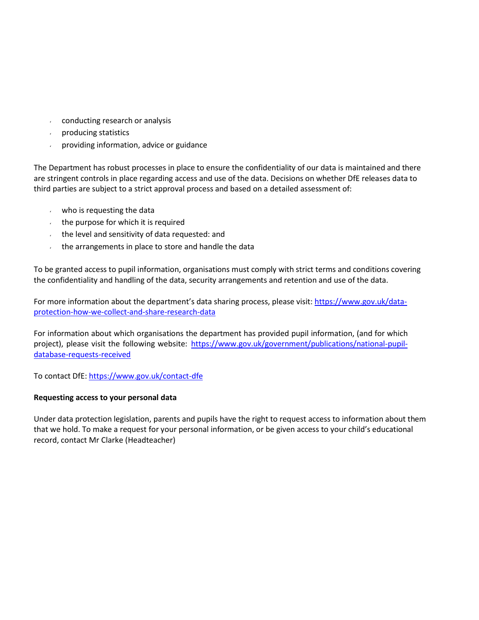- conducting research or analysis
- producing statistics  $\mathbf{v} = \mathbf{v}$
- providing information, advice or guidance  $\mathbf{v}$

The Department has robust processes in place to ensure the confidentiality of our data is maintained and there are stringent controls in place regarding access and use of the data. Decisions on whether DfE releases data to third parties are subject to a strict approval process and based on a detailed assessment of:

- who is requesting the data
- $\cdot$  the purpose for which it is required
- the level and sensitivity of data requested: and
- the arrangements in place to store and handle the data  $\mathbf{v}$

To be granted access to pupil information, organisations must comply with strict terms and conditions covering the confidentiality and handling of the data, security arrangements and retention and use of the data.

For more information about the department's data sharing process, please visit: [https://www.gov.uk/data](https://www.gov.uk/data-protection-how-we-collect-and-share-research-data)[protection-how-we-collect-and-share-research-data](https://www.gov.uk/data-protection-how-we-collect-and-share-research-data)

For information about which organisations the department has provided pupil information, (and for which project), please visit the following website: [https://www.gov.uk/government/publications/national-pupil](https://www.gov.uk/government/publications/national-pupil-database-requests-received)[database-requests-received](https://www.gov.uk/government/publications/national-pupil-database-requests-received)

To contact DfE[: https://www.gov.uk/contact-dfe](https://www.gov.uk/contact-dfe)

## **Requesting access to your personal data**

Under data protection legislation, parents and pupils have the right to request access to information about them that we hold. To make a request for your personal information, or be given access to your child's educational record, contact Mr Clarke (Headteacher)